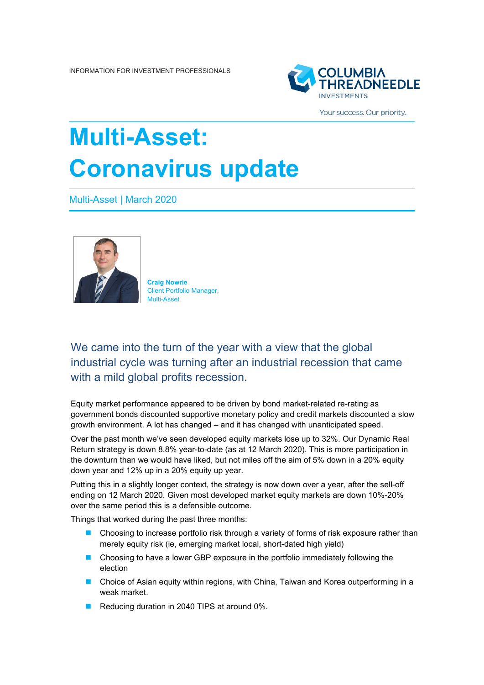

Your success. Our priority.

## **Multi-Asset: Coronavirus update**

Multi-Asset | March 2020



**Craig Nowrie** Client Portfolio Manager, Multi-Asset

We came into the turn of the year with a view that the global industrial cycle was turning after an industrial recession that came with a mild global profits recession.

Equity market performance appeared to be driven by bond market-related re-rating as government bonds discounted supportive monetary policy and credit markets discounted a slow growth environment. A lot has changed – and it has changed with unanticipated speed.

Over the past month we've seen developed equity markets lose up to 32%. Our Dynamic Real Return strategy is down 8.8% year-to-date (as at 12 March 2020). This is more participation in the downturn than we would have liked, but not miles off the aim of 5% down in a 20% equity down year and 12% up in a 20% equity up year.

Putting this in a slightly longer context, the strategy is now down over a year, after the sell-off ending on 12 March 2020. Given most developed market equity markets are down 10%-20% over the same period this is a defensible outcome.

Things that worked during the past three months:

- **Choosing to increase portfolio risk through a variety of forms of risk exposure rather than** merely equity risk (ie, emerging market local, short-dated high yield)
- **E** Choosing to have a lower GBP exposure in the portfolio immediately following the election
- Choice of Asian equity within regions, with China, Taiwan and Korea outperforming in a weak market.
- Reducing duration in 2040 TIPS at around 0%.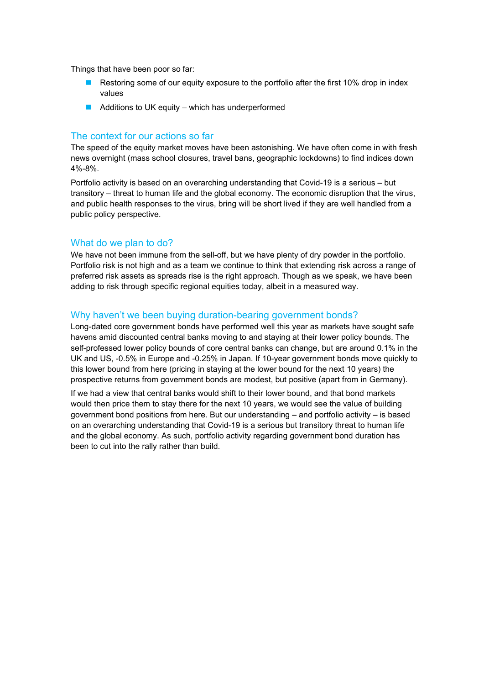Things that have been poor so far:

- **Restoring some of our equity exposure to the portfolio after the first 10% drop in index** values
- $\blacksquare$  Additions to UK equity which has underperformed

## The context for our actions so far

The speed of the equity market moves have been astonishing. We have often come in with fresh news overnight (mass school closures, travel bans, geographic lockdowns) to find indices down 4%-8%.

Portfolio activity is based on an overarching understanding that Covid-19 is a serious – but transitory – threat to human life and the global economy. The economic disruption that the virus, and public health responses to the virus, bring will be short lived if they are well handled from a public policy perspective.

## What do we plan to do?

We have not been immune from the sell-off, but we have plenty of dry powder in the portfolio. Portfolio risk is not high and as a team we continue to think that extending risk across a range of preferred risk assets as spreads rise is the right approach. Though as we speak, we have been adding to risk through specific regional equities today, albeit in a measured way.

## Why haven't we been buying duration-bearing government bonds?

Long-dated core government bonds have performed well this year as markets have sought safe havens amid discounted central banks moving to and staying at their lower policy bounds. The self-professed lower policy bounds of core central banks can change, but are around 0.1% in the UK and US, -0.5% in Europe and -0.25% in Japan. If 10-year government bonds move quickly to this lower bound from here (pricing in staying at the lower bound for the next 10 years) the prospective returns from government bonds are modest, but positive (apart from in Germany).

If we had a view that central banks would shift to their lower bound, and that bond markets would then price them to stay there for the next 10 years, we would see the value of building government bond positions from here. But our understanding – and portfolio activity – is based on an overarching understanding that Covid-19 is a serious but transitory threat to human life and the global economy. As such, portfolio activity regarding government bond duration has been to cut into the rally rather than build.